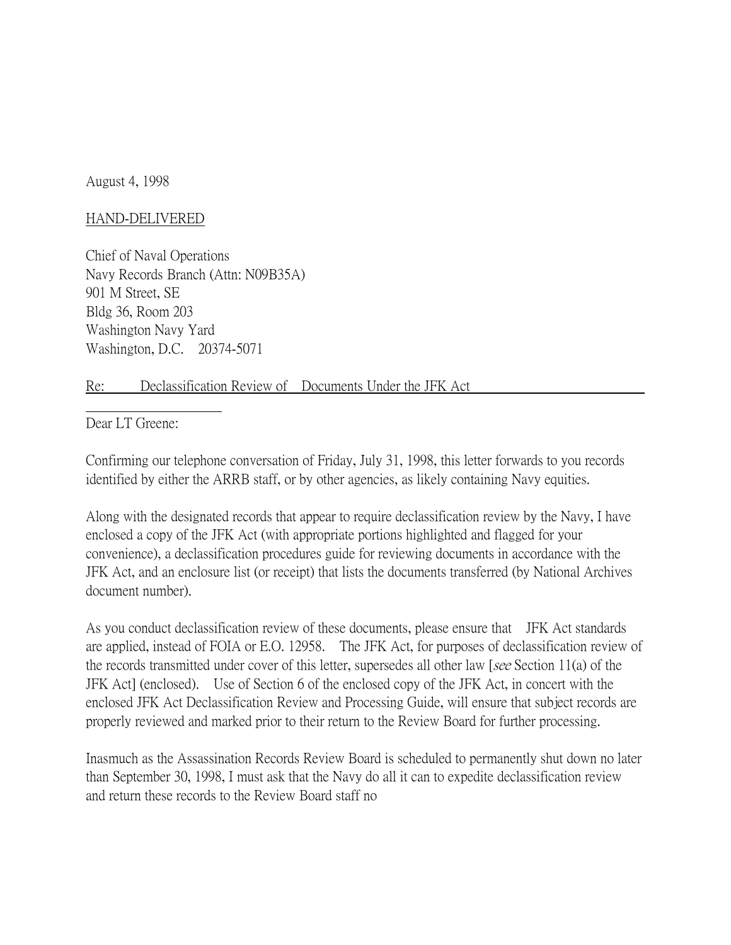August 4, 1998

## HAND-DELIVERED

Chief of Naval Operations Navy Records Branch (Attn: N09B35A) 901 M Street, SE Bldg 36, Room 203 Washington Navy Yard Washington, D.C. 20374-5071

## Re: Declassification Review of Documents Under the JFK Act

Dear LT Greene:

Confirming our telephone conversation of Friday, July 31, 1998, this letter forwards to you records identified by either the ARRB staff, or by other agencies, as likely containing Navy equities.

Along with the designated records that appear to require declassification review by the Navy, I have enclosed a copy of the JFK Act (with appropriate portions highlighted and flagged for your convenience), a declassification procedures guide for reviewing documents in accordance with the JFK Act, and an enclosure list (or receipt) that lists the documents transferred (by National Archives document number).

As you conduct declassification review of these documents, please ensure that JFK Act standards are applied, instead of FOIA or E.O. 12958. The JFK Act, for purposes of declassification review of the records transmitted under cover of this letter, supersedes all other law [see Section 11(a) of the JFK Act] (enclosed). Use of Section 6 of the enclosed copy of the JFK Act, in concert with the enclosed JFK Act Declassification Review and Processing Guide, will ensure that subject records are properly reviewed and marked prior to their return to the Review Board for further processing.

Inasmuch as the Assassination Records Review Board is scheduled to permanently shut down no later than September 30, 1998, I must ask that the Navy do all it can to expedite declassification review and return these records to the Review Board staff no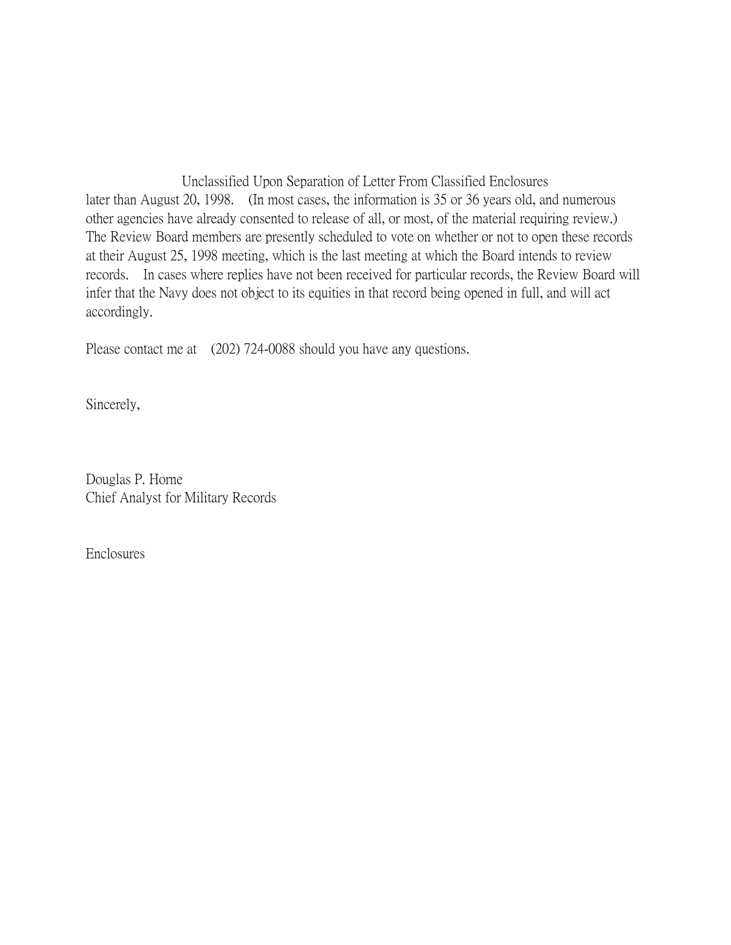Unclassified Upon Separation of Letter From Classified Enclosures later than August 20, 1998. (In most cases, the information is 35 or 36 years old, and numerous other agencies have already consented to release of all, or most, of the material requiring review.) The Review Board members are presently scheduled to vote on whether or not to open these records at their August 25, 1998 meeting, which is the last meeting at which the Board intends to review records. In cases where replies have not been received for particular records, the Review Board will infer that the Navy does not object to its equities in that record being opened in full, and will act accordingly.

Please contact me at (202) 724-0088 should you have any questions.

Sincerely,

Douglas P. Horne Chief Analyst for Military Records

Enclosures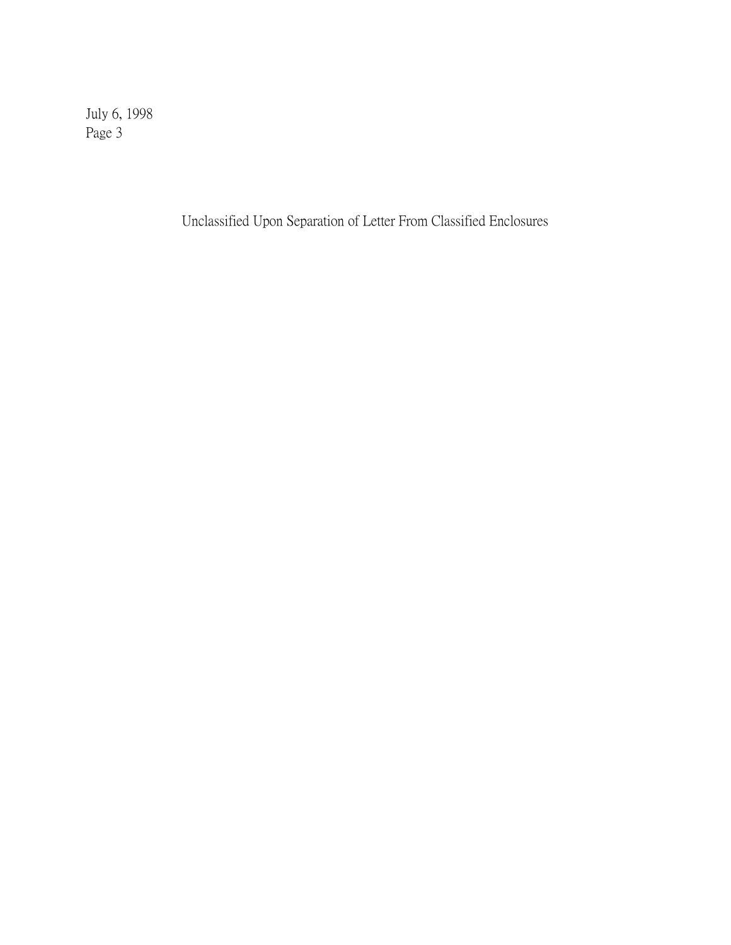July 6, 1998 Page 3

Unclassified Upon Separation of Letter From Classified Enclosures